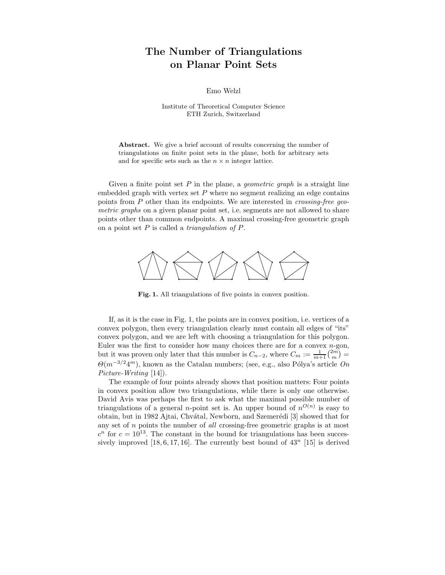## The Number of Triangulations on Planar Point Sets

Emo Welzl

Institute of Theoretical Computer Science ETH Zurich, Switzerland

Abstract. We give a brief account of results concerning the number of triangulations on finite point sets in the plane, both for arbitrary sets and for specific sets such as the  $n \times n$  integer lattice.

Given a finite point set  $P$  in the plane, a *geometric graph* is a straight line embedded graph with vertex set  $P$  where no segment realizing an edge contains points from P other than its endpoints. We are interested in *crossing-free geo*metric graphs on a given planar point set, i.e. segments are not allowed to share points other than common endpoints. A maximal crossing-free geometric graph on a point set  $P$  is called a *triangulation of*  $P$ .



Fig. 1. All triangulations of five points in convex position.

If, as it is the case in Fig. 1, the points are in convex position, i.e. vertices of a convex polygon, then every triangulation clearly must contain all edges of "its" convex polygon, and we are left with choosing a triangulation for this polygon. Euler was the first to consider how many choices there are for a convex  $n$ -gon, but it was proven only later that this number is  $C_{n-2}$ , where  $C_m := \frac{1}{m+1} {2m \choose m} =$  $\Theta(m^{-3/2}4^m)$ , known as the Catalan numbers; (see, e.g., also Pólya's article On Picture-Writing [14]).

The example of four points already shows that position matters: Four points in convex position allow two triangulations, while there is only one otherwise. David Avis was perhaps the first to ask what the maximal possible number of triangulations of a general *n*-point set is. An upper bound of  $n^{O(n)}$  is easy to obtain, but in 1982 Ajtai, Chvátal, Newborn, and Szemerédi [3] showed that for any set of  $n$  points the number of all crossing-free geometric graphs is at most  $c<sup>n</sup>$  for  $c = 10<sup>13</sup>$ . The constant in the bound for triangulations has been successively improved  $[18, 6, 17, 16]$ . The currently best bound of  $43^n$  [15] is derived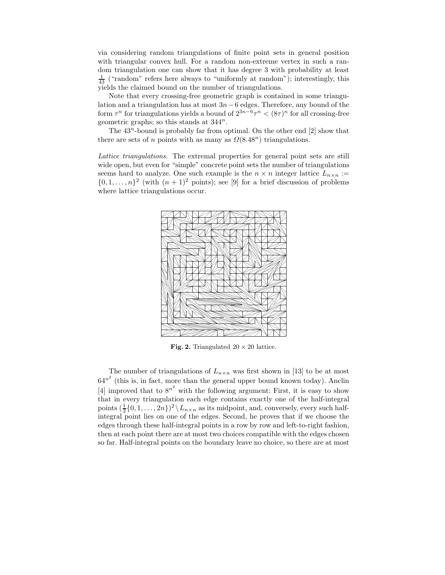via considering random triangulations of finite point sets in general position with triangular convex hull. For a random non-extreme vertex in such a random triangulation one can show that it has degree 3 with probability at least  $\frac{1}{43}$  ("random" refers here always to "uniformly at random"); interestingly, this yields the claimed bound on the number of triangulations.

Note that every crossing-free geometric graph is contained in some triangulation and a triangulation has at most  $3n-6$  edges. Therefore, any bound of the form  $\tau^n$  for triangulations yields a bound of  $2^{3n-6}\tau^n < (8\tau)^n$  for all crossing-free geometric graphs; so this stands at  $344^n$ .

The  $43^n$ -bound is probably far from optimal. On the other end  $[2]$  show that there are sets of n points with as many as  $\Omega(8.48^n)$  triangulations.

Lattice triangulations. The extremal properties for general point sets are still wide open, but even for "simple" concrete point sets the number of triangulations seems hard to analyze. One such example is the  $n \times n$  integer lattice  $L_{n \times n}$  :=  $\{0, 1, \ldots, n\}^2$  (with  $(n + 1)^2$  points); see [9] for a brief discussion of problems where lattice triangulations occur.



Fig. 2. Triangulated  $20 \times 20$  lattice.

The number of triangulations of  $L_{n \times n}$  was first shown in [13] to be at most  $64^{n^2}$  (this is, in fact, more than the general upper bound known today). Anclin [4] improved that to  $8^{n^2}$  with the following argument: First, it is easy to show that in every triangulation each edge contains exactly one of the half-integral points  $(\frac{1}{2}{0,1,\ldots,2n})^2 \backslash L_{n \times n}$  as its midpoint, and, conversely, every such halfintegral point lies on one of the edges. Second, he proves that if we choose the edges through these half-integral points in a row by row and left-to-right fashion, then at each point there are at most two choices compatible with the edges chosen so far. Half-integral points on the boundary leave no choice, so there are at most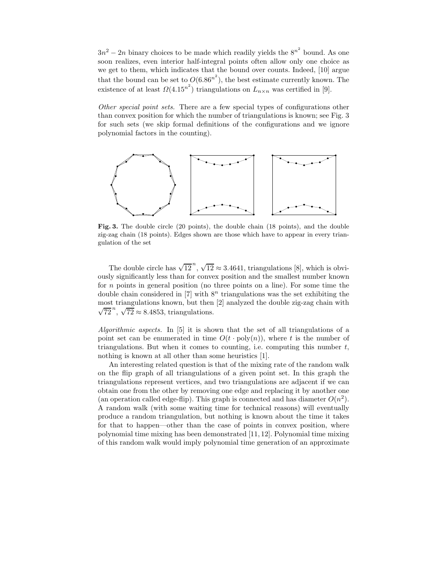$3n^2 - 2n$  binary choices to be made which readily yields the  $8^{n^2}$  bound. As one soon realizes, even interior half-integral points often allow only one choice as we get to them, which indicates that the bound over counts. Indeed, [10] argue that the bound can be set to  $O(6.86^{n^2})$ , the best estimate currently known. The existence of at least  $\Omega(4.15^{n^2})$  triangulations on  $L_{n \times n}$  was certified in [9].

Other special point sets. There are a few special types of configurations other than convex position for which the number of triangulations is known; see Fig. 3 for such sets (we skip formal definitions of the configurations and we ignore polynomial factors in the counting).



Fig. 3. The double circle (20 points), the double chain (18 points), and the double zig-zag chain (18 points). Edges shown are those which have to appear in every triangulation of the set

The double circle has  $\sqrt{12}^n$ ,  $\sqrt{12} \approx 3.4641$ , triangulations [8], which is obviously significantly less than for convex position and the smallest number known for n points in general position (no three points on a line). For some time the double chain considered in [7] with  $8<sup>n</sup>$  triangulations was the set exhibiting the most triangulations known, but then [2] analyzed the double zig-zag chain with  $\sqrt{72}^n$ ,  $\sqrt{72} \approx 8.4853$ , triangulations.

Algorithmic aspects. In [5] it is shown that the set of all triangulations of a point set can be enumerated in time  $O(t \cdot \text{poly}(n))$ , where t is the number of triangulations. But when it comes to counting, i.e. computing this number  $t$ , nothing is known at all other than some heuristics [1].

An interesting related question is that of the mixing rate of the random walk on the flip graph of all triangulations of a given point set. In this graph the triangulations represent vertices, and two triangulations are adjacent if we can obtain one from the other by removing one edge and replacing it by another one (an operation called edge-flip). This graph is connected and has diameter  $O(n^2)$ . A random walk (with some waiting time for technical reasons) will eventually produce a random triangulation, but nothing is known about the time it takes for that to happen—other than the case of points in convex position, where polynomial time mixing has been demonstrated [11, 12]. Polynomial time mixing of this random walk would imply polynomial time generation of an approximate